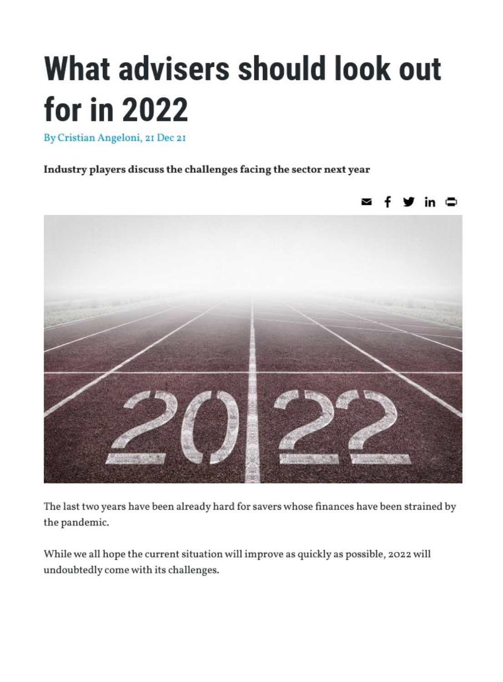## What advisers should look out for in 2022

By Cristian Angeloni, 21 Dec 21

Industry players discuss the challenges facing the sector next year



The last two years have been already hard for savers whose finances have been strained by the pandemic.

While we all hope the current situation will improve as quickly as possible, 2022 will undoubtedly come with its challenges.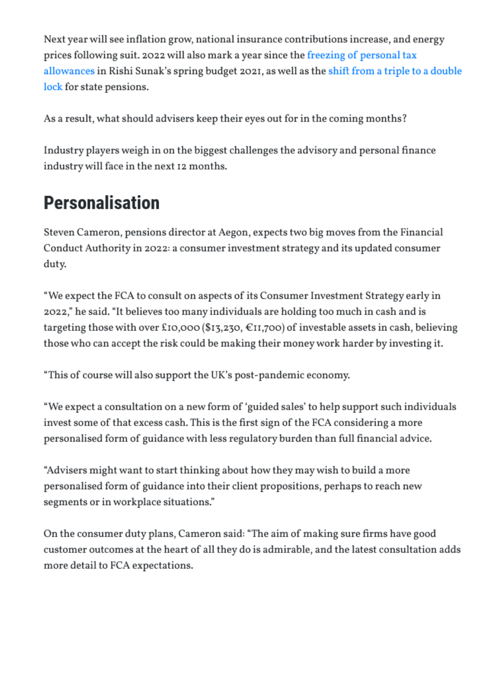Next year will see inflation grow, national insurance contributions increase, and energy prices following suit. 2022 will also mark a year since the [freezing of personal tax](https://international-adviser.com/uk-freezes-personal-tax-thresholds-until-2026/)  [allowances](https://international-adviser.com/uk-freezes-personal-tax-thresholds-until-2026/) in Rishi Sunak's spring budget 2021, as well as the [shift from](https://international-adviser.com/triple-lock-suspension-gets-go-ahead/) a triple to a double [lock](https://international-adviser.com/triple-lock-suspension-gets-go-ahead/) for state pensions.

As a result, what should advisers keep their eyes out for in the coming months?

Industry players weigh in on the biggest challenges the advisory and personal finance industry will face in the next 12 months.

## Personalisation

Steven Cameron, pensions director at Aegon, expects two big moves from the Financial Conduct Authority in 2022: a consumer investment strategy and its updated consumer duty.

"We expect the FCA to consult on aspects of its Consumer Investment Strategy early in 2022," he said. "It believes too many individuals are holding too much in cash and is targeting those with over £10,000 (\$13,230,  $\epsilon$ 11,700) of investable assets in cash, believing those who can accept the risk could be making their money work harder by investing it.

"This of course will also support the UK's post-pandemic economy.

"We expect a consultation on a new form of 'guided sales' to help support such individuals invest some of that excess cash. This is the first sign of the FCA considering a more personalised form of guidance with less regulatory burden than full financial advice.

"Advisers might want to start thinking about how they may wish to build a more personalised form of guidance into their client propositions, perhaps to reach new segments or in workplace situations."

On the consumer duty plans, Cameron said: "The aim of making sure firms have good customer outcomes at the heart of all they do is admirable, and the latest consultation adds more detail to FCA expectations.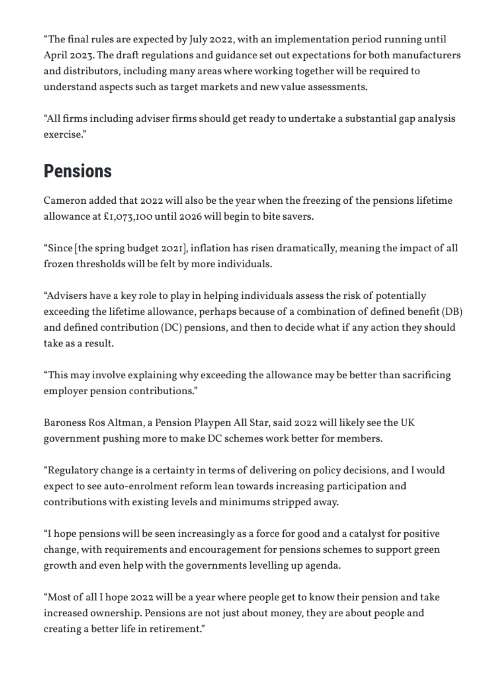"The final rules are expected by July 2022, with an implementation period running until April 2023. The draft regulations and guidance set out expectations for both manufacturers and distributors, including many areas where working together will be required to understand aspects such as target markets and new value assessments.

"All firms including adviser firms should get ready to undertake a substantial gap analysis exercise."

## Pensions

Cameron added that 2022 will also be the year when the freezing of the pensions lifetime allowance at £1,073,100 until 2026 will begin to bite savers.

"Since [the spring budget 2021], inflation has risen dramatically, meaning the impact of all frozen thresholds will be felt by more individuals.

"Advisers have a key role to play in helping individuals assess the risk of potentially exceeding the lifetime allowance, perhaps because of a combination of defined benefit (DB) and defined contribution (DC) pensions, and then to decide what if any action they should take as a result.

"This may involve explaining why exceeding the allowance may be better than sacrificing employer pension contributions."

Baroness Ros Altman, a Pension Playpen All Star, said 2022 will likely see the UK government pushing more to make DC schemes work better for members.

"Regulatory change is a certainty in terms of delivering on policy decisions, and I would expect to see auto-enrolment reform lean towards increasing participation and contributions with existing levels and minimums stripped away.

"I hope pensions will be seen increasingly as a force for good and a catalyst for positive change, with requirements and encouragement for pensions schemes to support green growth and even help with the governments levelling up agenda.

"Most of all I hope 2022 will be a year where people get to know their pension and take increased ownership. Pensions are not just about money, they are about people and creating a better life in retirement."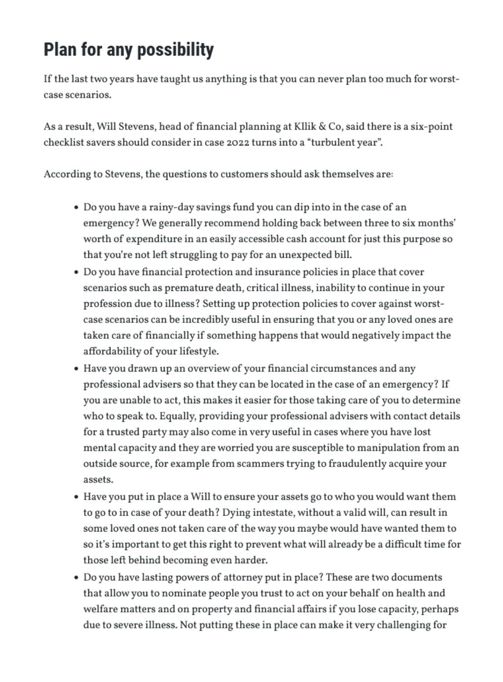## Plan for any possibility

If the last two years have taught us anything is that you can never plan too much for worstcase scenarios.

As a result, Will Stevens, head of financial planning at Kllik & Co, said there is a six-point checklist savers should consider in case 2022 turns into a "turbulent year".

According to Stevens, the questions to customers should ask themselves are:

- Do you have a rainy-day savings fund you can dip into in the case of an emergency? We generally recommend holding back between three to six months' worth of expenditure in an easily accessible cash account for just this purpose so that you're not left struggling to pay for an unexpected bill.
- Do you have financial protection and insurance policies in place that cover scenarios such as premature death, critical illness, inability to continue in your profession due to illness? Setting up protection policies to cover against worstcase scenarios can be incredibly useful in ensuring that you or any loved ones are taken care of financially if something happens that would negatively impact the affordability of your lifestyle.
- Have you drawn up an overview of your financial circumstances and any professional advisers so that they can be located in the case of an emergency? If you are unable to act, this makes it easier for those taking care of you to determine who to speak to. Equally, providing your professional advisers with contact details for a trusted party may also come in very useful in cases where you have lost mental capacity and they are worried you are susceptible to manipulation from an outside source, for example from scammers trying to fraudulently acquire your assets.
- Have you put in place a Will to ensure your assets go to who you would want them to go to in case of your death? Dying intestate, without a valid will, can result in some loved ones not taken care of the way you maybe would have wanted them to so it's important to get this right to prevent what will already be a difficult time for those left behind becoming even harder.
- Do you have lasting powers of attorney put in place? These are two documents that allow you to nominate people you trust to act on your behalf on health and welfare matters and on property and financial affairs if you lose capacity, perhaps due to severe illness. Not putting these in place can make it very challenging for